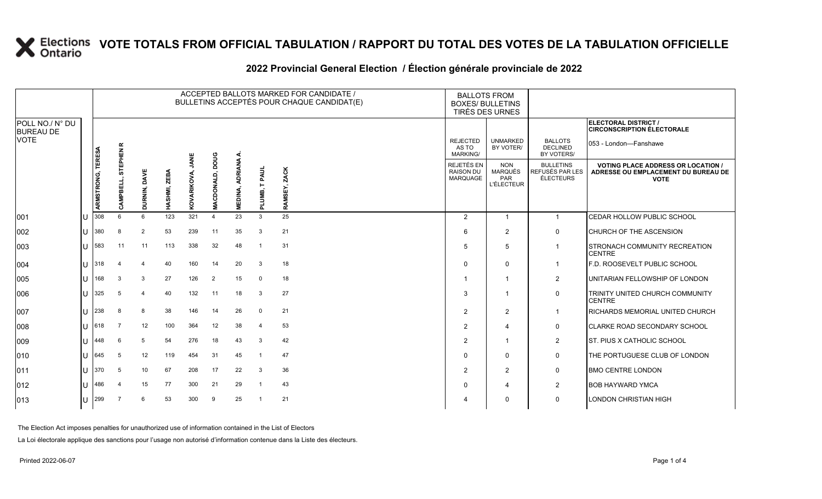|                                     |    |                   |                   |                         |              |                    |                           |                           |                        | ACCEPTED BALLOTS MARKED FOR CANDIDATE /<br>BULLETINS ACCEPTÉS POUR CHAQUE CANDIDAT(E) |                                                          | <b>BALLOTS FROM</b><br><b>BOXES/ BULLETINS</b><br>TIRÉS DES URNES |                                                  |                                                                                                 |
|-------------------------------------|----|-------------------|-------------------|-------------------------|--------------|--------------------|---------------------------|---------------------------|------------------------|---------------------------------------------------------------------------------------|----------------------------------------------------------|-------------------------------------------------------------------|--------------------------------------------------|-------------------------------------------------------------------------------------------------|
| POLL NO./ N° DU<br><b>BUREAU DE</b> |    |                   |                   |                         |              |                    |                           |                           |                        |                                                                                       |                                                          |                                                                   |                                                  | ELECTORAL DISTRICT /<br><b>CIRCONSCRIPTION ÉLECTORALE</b>                                       |
| VOTE                                |    |                   | $\propto$         |                         |              |                    |                           |                           |                        |                                                                                       | <b>REJECTED</b><br>AS TO<br><b>MARKING/</b>              | <b>UNMARKED</b><br>BY VOTER/                                      | <b>BALLOTS</b><br><b>DECLINED</b><br>BY VOTERS/  | 053 - London—Fanshawe                                                                           |
|                                     |    | ARMSTRONG, TERESA | STEPHEN<br>ᇳ<br>쮠 | DURNIN, DAVE            | HASHMI, ZEBA | JANE<br>KOVARIKOVA | poug<br><b>MACDONALD,</b> | <b>ADRIANA</b><br>MEDINA, | <b>TPAUL</b><br>PLUMB, | RAMSEY, ZACK                                                                          | <b>REJETÉS EN</b><br><b>RAISON DU</b><br><b>MARQUAGE</b> | <b>NON</b><br><b>MARQUÉS</b><br>PAR<br><b>L'ÉLECTEUR</b>          | <b>BULLETINS</b><br>REFUSÉS PAR LES<br>ÉLECTEURS | <b>VOTING PLACE ADDRESS OR LOCATION /</b><br>ADRESSE OU EMPLACEMENT DU BUREAU DE<br><b>VOTE</b> |
| 001                                 | ЦJ | 308               | 6                 | 6                       | 123          | 321                | $\overline{4}$            | 23                        | 3                      | 25                                                                                    | $\overline{2}$                                           | $\overline{1}$                                                    | $\mathbf{1}$                                     | CEDAR HOLLOW PUBLIC SCHOOL                                                                      |
| 002                                 | ΙU | 1380              | $\mathbf{8}$      | 2                       | 53           | 239                | 11                        | 35                        | 3                      | 21                                                                                    | 6                                                        | $\overline{2}$                                                    | $\mathbf 0$                                      | <b>CHURCH OF THE ASCENSION</b>                                                                  |
| 003                                 | IU | 583               | 11                | 11                      | 113          | 338                | 32                        | 48                        |                        | 31                                                                                    | .5                                                       | 5                                                                 |                                                  | <b>STRONACH COMMUNITY RECREATION</b><br><b>CENTRE</b>                                           |
| 004                                 | Ш  | 1318              | $\overline{4}$    | $\overline{\mathbf{4}}$ | 40           | 160                | 14                        | 20                        | 3                      | 18                                                                                    | $\Omega$                                                 | $\mathbf 0$                                                       |                                                  | <b>F.D. ROOSEVELT PUBLIC SCHOOL</b>                                                             |
| 005                                 | Ш  | 168               | 3                 | 3                       | 27           | 126                | 2                         | 15                        | 0                      | 18                                                                                    |                                                          | -1                                                                | 2                                                | UNITARIAN FELLOWSHIP OF LONDON                                                                  |
| 006                                 | IU | 325               | 5                 | 4                       | 40           | 132                | 11                        | 18                        | 3                      | 27                                                                                    | 3                                                        |                                                                   | 0                                                | TRINITY UNITED CHURCH COMMUNITY<br><b>CENTRE</b>                                                |
| 007                                 | IU | 238               | 8                 | 8                       | 38           | 146                | 14                        | 26                        | $\mathbf 0$            | 21                                                                                    | 2                                                        | 2                                                                 |                                                  | <b>RICHARDS MEMORIAL UNITED CHURCH</b>                                                          |
| 008                                 | IU | 618               | $\overline{7}$    | 12                      | 100          | 364                | 12                        | 38                        | $\mathbf 4$            | 53                                                                                    | 2                                                        | $\boldsymbol{\Delta}$                                             | $\mathbf 0$                                      | <b>CLARKE ROAD SECONDARY SCHOOL</b>                                                             |
| 009                                 | IН | 448               | 6                 | 5                       | 54           | 276                | 18                        | 43                        | 3                      | 42                                                                                    | $\overline{2}$                                           |                                                                   | 2                                                | <b>ST. PIUS X CATHOLIC SCHOOL</b>                                                               |
| 010                                 | IН | 645               | 5                 | 12                      | 119          | 454                | 31                        | 45                        |                        | 47                                                                                    | $\Omega$                                                 | $\Omega$                                                          | 0                                                | THE PORTUGUESE CLUB OF LONDON                                                                   |
| 011                                 | IU | 370               | 5                 | 10                      | 67           | 208                | 17                        | 22                        | 3                      | 36                                                                                    | $\overline{2}$                                           | 2                                                                 | $\mathbf 0$                                      | <b>BMO CENTRE LONDON</b>                                                                        |
| 012                                 | IU | 486               | 4                 | 15                      | 77           | 300                | 21                        | 29                        |                        | 43                                                                                    | $\Omega$                                                 | $\overline{4}$                                                    | $\overline{2}$                                   | <b>BOB HAYWARD YMCA</b>                                                                         |
| 013                                 | ΙU | 299               | 7                 | 6                       | 53           | 300                | 9                         | 25                        |                        | 21                                                                                    | 4                                                        | $\Omega$                                                          | $\mathbf{0}$                                     | <b>LONDON CHRISTIAN HIGH</b>                                                                    |

### **2022 Provincial General Election / Élection générale provinciale de 2022**

The Election Act imposes penalties for unauthorized use of information contained in the List of Electors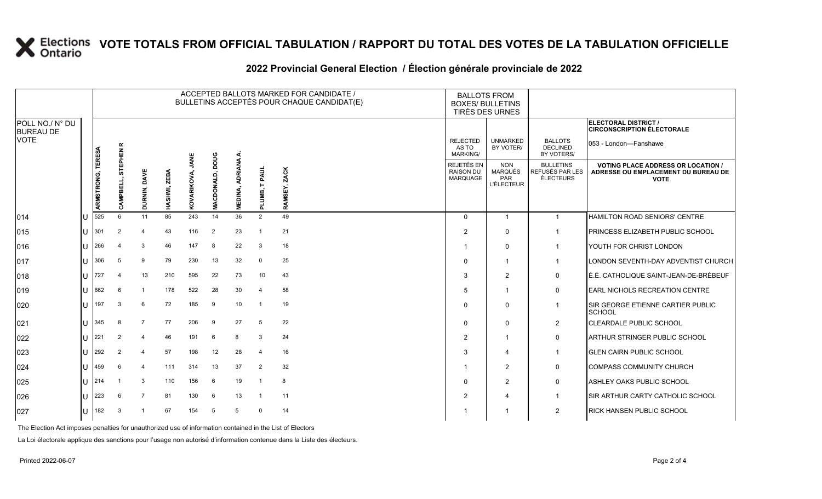|                                     |              |                   |                               |                |              |                     |                           |                           |                         | ACCEPTED BALLOTS MARKED FOR CANDIDATE /<br>BULLETINS ACCEPTÉS POUR CHAQUE CANDIDAT(E) |                                                   | <b>BALLOTS FROM</b><br><b>BOXES/ BULLETINS</b><br>TIRÉS DES URNES |                                                  |                                                                                                 |
|-------------------------------------|--------------|-------------------|-------------------------------|----------------|--------------|---------------------|---------------------------|---------------------------|-------------------------|---------------------------------------------------------------------------------------|---------------------------------------------------|-------------------------------------------------------------------|--------------------------------------------------|-------------------------------------------------------------------------------------------------|
| POLL NO./ N° DU<br><b>BUREAU DE</b> |              |                   |                               |                |              |                     |                           |                           |                         |                                                                                       |                                                   |                                                                   |                                                  | <b>ELECTORAL DISTRICT /</b><br><b>CIRCONSCRIPTION ÉLECTORALE</b>                                |
| <b>VOTE</b>                         |              |                   | œ<br>EPHEN I                  |                |              |                     |                           | ∢                         |                         |                                                                                       | <b>REJECTED</b><br>AS TO<br>MARKING/              | <b>UNMARKED</b><br>BY VOTER/                                      | <b>BALLOTS</b><br><b>DECLINED</b><br>BY VOTERS/  | 053 - London-Fanshawe                                                                           |
|                                     |              | ARMSTRONG, TERESA | 듮<br>긆<br>$\overline{m}$<br>చ | DURNIN, DAVE   | HASHMI, ZEBA | JANE<br>KOVARIKOVA, | poug<br><b>MACDONALD,</b> | <b>ADRIANA</b><br>MEDINA, | <b>TPAUL</b><br>PLUMB,  | ZACK<br>SEY,<br><b>RAMS</b>                                                           | REJETÉS EN<br><b>RAISON DU</b><br><b>MARQUAGE</b> | <b>NON</b><br><b>MARQUÉS</b><br>PAR<br><b>L'ÉLECTEUR</b>          | <b>BULLETINS</b><br>REFUSÉS PAR LES<br>ÉLECTEURS | <b>VOTING PLACE ADDRESS OR LOCATION /</b><br>ADRESSE OU EMPLACEMENT DU BUREAU DE<br><b>VOTE</b> |
| 014                                 | U            | 525               | 6                             | 11             | 85           | 243                 | 14                        | 36                        | 2                       | 49                                                                                    | $\Omega$                                          | 1                                                                 | $\mathbf{1}$                                     | HAMILTON ROAD SENIORS' CENTRE                                                                   |
| 015                                 | U            | 301               | 2                             | 4              | 43           | 116                 | 2                         | 23                        | $\overline{1}$          | 21                                                                                    | $\overline{2}$                                    | $\mathbf 0$                                                       | $\mathbf{1}$                                     | PRINCESS ELIZABETH PUBLIC SCHOOL                                                                |
| 016                                 | $\mathbf{U}$ | 266               |                               | 3              | 46           | 147                 | 8                         | 22                        | 3                       | 18                                                                                    |                                                   | $\mathbf{0}$                                                      | $\mathbf{1}$                                     | YOUTH FOR CHRIST LONDON                                                                         |
| 017                                 | $\mathbf{U}$ | 306               | 5                             | 9              | 79           | 230                 | 13                        | 32                        | $\mathbf{0}$            | 25                                                                                    | $\Omega$                                          | 1                                                                 | $\mathbf{1}$                                     | LONDON SEVENTH-DAY ADVENTIST CHURCH                                                             |
| 018                                 | U            | 727               | 4                             | 13             | 210          | 595                 | 22                        | 73                        | 10                      | 43                                                                                    | -3                                                | 2                                                                 | 0                                                | É.É. CATHOLIQUE SAINT-JEAN-DE-BRÉBEUF                                                           |
| 019                                 |              | 662               | 6                             |                | 178          | 522                 | 28                        | 30                        | 4                       | 58                                                                                    | 5                                                 | 1                                                                 | $\mathbf 0$                                      | <b>EARL NICHOLS RECREATION CENTRE</b>                                                           |
| 020                                 | $\mathbf{U}$ | 197               | 3                             | 6              | 72           | 185                 | 9                         | 10                        | $\overline{\mathbf{1}}$ | 19                                                                                    | $\Omega$                                          | $\Omega$                                                          | $\mathbf{1}$                                     | SIR GEORGE ETIENNE CARTIER PUBLIC<br><b>SCHOOL</b>                                              |
| 021                                 | U            | 345               | 8                             | $\overline{7}$ | 77           | 206                 | 9                         | 27                        | 5                       | 22                                                                                    | 0                                                 | 0                                                                 | $\overline{2}$                                   | <b>CLEARDALE PUBLIC SCHOOL</b>                                                                  |
| 022                                 | ΠT           | 221               | $\overline{2}$                | $\overline{4}$ | 46           | 191                 | 6                         | 8                         | 3                       | 24                                                                                    | $\overline{2}$                                    | 1                                                                 | $\mathbf 0$                                      | ARTHUR STRINGER PUBLIC SCHOOL                                                                   |
| 023                                 | $\mathbf{L}$ | 292               | $\overline{2}$                | 4              | 57           | 198                 | 12                        | 28                        | $\overline{4}$          | 16                                                                                    | 3                                                 | 4                                                                 | $\mathbf{1}$                                     | <b>GLEN CAIRN PUBLIC SCHOOL</b>                                                                 |
| 024                                 | $\mathbf{U}$ | 459               | 6                             | 4              | 111          | 314                 | 13                        | 37                        | 2                       | 32                                                                                    |                                                   | 2                                                                 | 0                                                | <b>COMPASS COMMUNITY CHURCH</b>                                                                 |
| 025                                 | U            | 214               | -1                            | 3              | 110          | 156                 | 6                         | 19                        | $\overline{\mathbf{1}}$ | 8                                                                                     | $\mathbf 0$                                       | 2                                                                 | $\mathbf 0$                                      | ASHLEY OAKS PUBLIC SCHOOL                                                                       |
| 026                                 | $\mathbf{H}$ | 223               | 6                             | $\overline{7}$ | 81           | 130                 | 6                         | 13                        | -1                      | 11                                                                                    | $\overline{2}$                                    | 4                                                                 | $\mathbf{1}$                                     | SIR ARTHUR CARTY CATHOLIC SCHOOL                                                                |
| 027                                 | IU.          | 182               | 3                             |                | 67           | 154                 | -5                        | 5                         | $\mathbf 0$             | 14                                                                                    |                                                   | -1                                                                | $\overline{2}$                                   | <b>RICK HANSEN PUBLIC SCHOOL</b>                                                                |
|                                     |              |                   |                               |                |              |                     |                           |                           |                         |                                                                                       |                                                   |                                                                   |                                                  |                                                                                                 |

### **2022 Provincial General Election / Élection générale provinciale de 2022**

The Election Act imposes penalties for unauthorized use of information contained in the List of Electors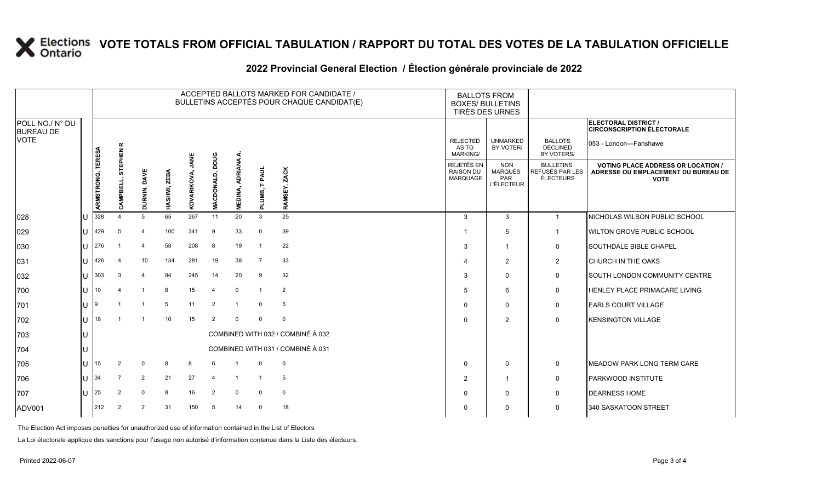|                                     |       |                                   |                    |                |              |                     |                           |                           |                  | ACCEPTED BALLOTS MARKED FOR CANDIDATE /<br>BULLETINS ACCEPTÉS POUR CHAQUE CANDIDAT(E) |                                             | <b>BALLOTS FROM</b><br><b>BOXES/ BULLETINS</b><br>TIRÉS DES URNES |                                                         |                                                                                                 |
|-------------------------------------|-------|-----------------------------------|--------------------|----------------|--------------|---------------------|---------------------------|---------------------------|------------------|---------------------------------------------------------------------------------------|---------------------------------------------|-------------------------------------------------------------------|---------------------------------------------------------|-------------------------------------------------------------------------------------------------|
| POLL NO./ N° DU<br><b>BUREAU DE</b> |       |                                   |                    |                |              |                     |                           |                           |                  |                                                                                       |                                             |                                                                   |                                                         | ELECTORAL DISTRICT /<br><b>CIRCONSCRIPTION ÉLECTORALE</b>                                       |
| <b>VOTE</b>                         |       | TERESA                            | $\propto$<br>EPHEN |                |              |                     |                           |                           |                  |                                                                                       | <b>REJECTED</b><br>AS TO<br><b>MARKING/</b> | <b>UNMARKED</b><br>BY VOTER/                                      | <b>BALLOTS</b><br><b>DECLINED</b><br>BY VOTERS/         | 053 - London-Fanshawe                                                                           |
|                                     |       | ARMSTRONG,                        | 듮<br>ᇳ<br>훈<br>Ö   | DURNIN, DAVE   | HASHMI, ZEBA | JANE<br>KOVARIKOVA, | poug<br><b>MACDONALD,</b> | <b>ADRIANA</b><br>MEDINA, | T PAUL<br>PLUMB, | ZACK<br>RAMSEY,                                                                       | REJETÉS EN<br><b>RAISON DU</b><br>MARQUAGE  | <b>NON</b><br>MARQUÉS<br><b>PAR</b><br><b>L'ÉLECTEUR</b>          | <b>BULLETINS</b><br><b>REFUSÉS PAR LES</b><br>ÉLECTEURS | <b>VOTING PLACE ADDRESS OR LOCATION /</b><br>ADRESSE OU EMPLACEMENT DU BUREAU DE<br><b>VOTE</b> |
| 028                                 | IU    | 328                               | $\mathbf 4$        | 5              | 65           | 267                 | 11                        | 20                        | 3                | 25                                                                                    | $\mathcal{S}$                               | 3                                                                 | -1                                                      | NICHOLAS WILSON PUBLIC SCHOOL                                                                   |
| 029                                 | IU    | 429                               | 5                  | 4              | 100          | 341                 | -9                        | 33                        | $\Omega$         | 39                                                                                    |                                             | 5                                                                 | $\overline{\mathbf{1}}$                                 | <b>WILTON GROVE PUBLIC SCHOOL</b>                                                               |
| 030                                 |       | $U$ 276                           |                    | 4              | 58           | 208                 | 8                         | 19                        |                  | 22                                                                                    | 3                                           | $\overline{1}$                                                    | 0                                                       | <b>SOUTHDALE BIBLE CHAPEL</b>                                                                   |
| 031                                 | ΙUΓ   | 426                               | 4                  | 10             | 134          | 281                 | 19                        | 38                        | 7                | 33                                                                                    |                                             | 2                                                                 | $\overline{2}$                                          | <b>CHURCH IN THE OAKS</b>                                                                       |
| 032                                 | ПT    | $303$                             | 3                  | 4              | 94           | 245                 | 14                        | 20                        | 9                | 32                                                                                    | 3                                           | 0                                                                 | 0                                                       | <b>SOUTH LONDON COMMUNITY CENTRE</b>                                                            |
| 700                                 | 11110 |                                   |                    | $\overline{1}$ | 8            | 15                  | $\overline{4}$            | $\mathbf 0$               |                  | 2                                                                                     | 5                                           | 6                                                                 | 0                                                       | <b>HENLEY PLACE PRIMACARE LIVING</b>                                                            |
| 701                                 | ПT    | 19                                |                    | $\mathbf{1}$   | 5            | 11                  | 2                         | $\overline{1}$            | $\mathbf 0$      | 5                                                                                     | $\Omega$                                    | $\mathbf{0}$                                                      | 0                                                       | <b>EARLS COURT VILLAGE</b>                                                                      |
| 702                                 | lU    | 118                               |                    | $\overline{1}$ | 10           | 15                  | $\overline{2}$            | $\Omega$                  | $\mathbf 0$      | $\mathbf 0$                                                                           | $\Omega$                                    | $\overline{2}$                                                    | $\mathbf 0$                                             | <b>KENSINGTON VILLAGE</b>                                                                       |
| 703                                 | IU    |                                   |                    |                |              |                     |                           |                           |                  | COMBINED WITH 032 / COMBINÉ À 032                                                     |                                             |                                                                   |                                                         |                                                                                                 |
| 704                                 | 1 I J | COMBINED WITH 031 / COMBINÉ À 031 |                    |                |              |                     |                           |                           |                  |                                                                                       |                                             |                                                                   |                                                         |                                                                                                 |
| 705                                 | IU    | 15                                | 2                  | $\Omega$       | 8            | 8                   | 6                         |                           | $\mathbf 0$      | $\mathbf 0$                                                                           | $\Omega$                                    | 0                                                                 | 0                                                       | <b>IMEADOW PARK LONG TERM CARE</b>                                                              |
| 706                                 | ΙUΓ   | 134                               |                    | 2              | 21           | 27                  | $\overline{4}$            |                           |                  | 5                                                                                     | $\overline{2}$                              | 1                                                                 | 0                                                       | <b>PARKWOOD INSTITUTE</b>                                                                       |
| 707                                 | IU    | 25                                | 2                  | $\mathbf 0$    | 8            | 16                  | $\overline{2}$            | $\mathsf{O}$              | $\mathbf 0$      | $\mathbf 0$                                                                           | $\Omega$                                    | 0                                                                 | $\mathbf 0$                                             | <b>DEARNESS HOME</b>                                                                            |
| ADV001                              |       | 212                               | 2                  | 2              | 31           | 150                 | 5                         | 14                        | $\mathbf 0$      | 18                                                                                    |                                             | 0                                                                 | 0                                                       | 340 SASKATOON STREET                                                                            |
|                                     |       |                                   |                    |                |              |                     |                           |                           |                  |                                                                                       |                                             |                                                                   |                                                         |                                                                                                 |

### **2022 Provincial General Election / Élection générale provinciale de 2022**

The Election Act imposes penalties for unauthorized use of information contained in the List of Electors